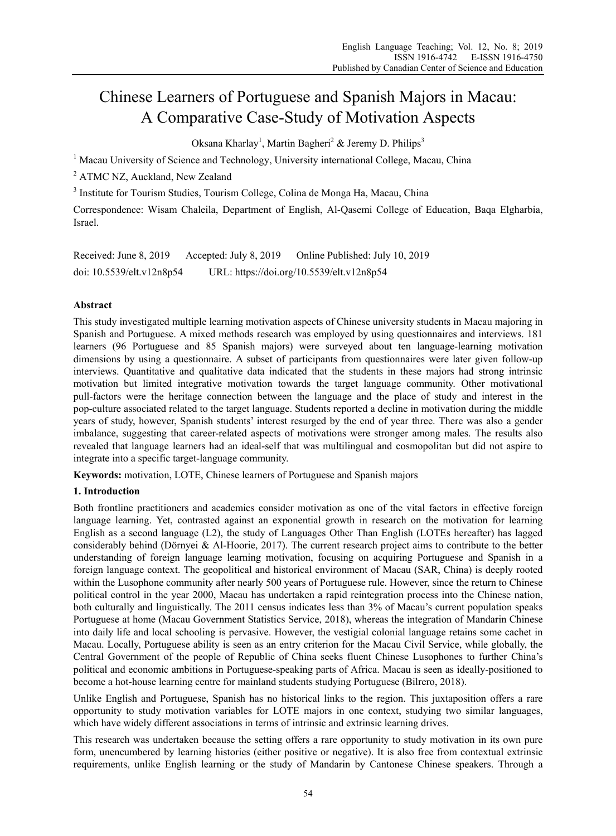# Chinese Learners of Portuguese and Spanish Majors in Macau: A Comparative Case-Study of Motivation Aspects

Oksana Kharlay<sup>1</sup>, Martin Bagheri<sup>2</sup> & Jeremy D. Philips<sup>3</sup>

<sup>1</sup> Macau University of Science and Technology, University international College, Macau, China

<sup>2</sup> ATMC NZ, Auckland, New Zealand

<sup>3</sup> Institute for Tourism Studies, Tourism College, Colina de Monga Ha, Macau, China

Correspondence: Wisam Chaleila, Department of English, Al-Qasemi College of Education, Baqa Elgharbia, Israel.

Received: June 8, 2019 Accepted: July 8, 2019 Online Published: July 10, 2019 doi: 10.5539/elt.v12n8p54 URL: https://doi.org/10.5539/elt.v12n8p54

# **Abstract**

This study investigated multiple learning motivation aspects of Chinese university students in Macau majoring in Spanish and Portuguese. A mixed methods research was employed by using questionnaires and interviews. 181 learners (96 Portuguese and 85 Spanish majors) were surveyed about ten language-learning motivation dimensions by using a questionnaire. A subset of participants from questionnaires were later given follow-up interviews. Quantitative and qualitative data indicated that the students in these majors had strong intrinsic motivation but limited integrative motivation towards the target language community. Other motivational pull-factors were the heritage connection between the language and the place of study and interest in the pop-culture associated related to the target language. Students reported a decline in motivation during the middle years of study, however, Spanish students' interest resurged by the end of year three. There was also a gender imbalance, suggesting that career-related aspects of motivations were stronger among males. The results also revealed that language learners had an ideal-self that was multilingual and cosmopolitan but did not aspire to integrate into a specific target-language community.

**Keywords:** motivation, LOTE, Chinese learners of Portuguese and Spanish majors

# **1. Introduction**

Both frontline practitioners and academics consider motivation as one of the vital factors in effective foreign language learning. Yet, contrasted against an exponential growth in research on the motivation for learning English as a second language (L2), the study of Languages Other Than English (LOTEs hereafter) has lagged considerably behind (Dörnyei & Al-Hoorie, 2017). The current research project aims to contribute to the better understanding of foreign language learning motivation, focusing on acquiring Portuguese and Spanish in a foreign language context. The geopolitical and historical environment of Macau (SAR, China) is deeply rooted within the Lusophone community after nearly 500 years of Portuguese rule. However, since the return to Chinese political control in the year 2000, Macau has undertaken a rapid reintegration process into the Chinese nation, both culturally and linguistically. The 2011 census indicates less than 3% of Macau's current population speaks Portuguese at home (Macau Government Statistics Service, 2018), whereas the integration of Mandarin Chinese into daily life and local schooling is pervasive. However, the vestigial colonial language retains some cachet in Macau. Locally, Portuguese ability is seen as an entry criterion for the Macau Civil Service, while globally, the Central Government of the people of Republic of China seeks fluent Chinese Lusophones to further China's political and economic ambitions in Portuguese-speaking parts of Africa. Macau is seen as ideally-positioned to become a hot-house learning centre for mainland students studying Portuguese (Bilrero, 2018).

Unlike English and Portuguese, Spanish has no historical links to the region. This juxtaposition offers a rare opportunity to study motivation variables for LOTE majors in one context, studying two similar languages, which have widely different associations in terms of intrinsic and extrinsic learning drives.

This research was undertaken because the setting offers a rare opportunity to study motivation in its own pure form, unencumbered by learning histories (either positive or negative). It is also free from contextual extrinsic requirements, unlike English learning or the study of Mandarin by Cantonese Chinese speakers. Through a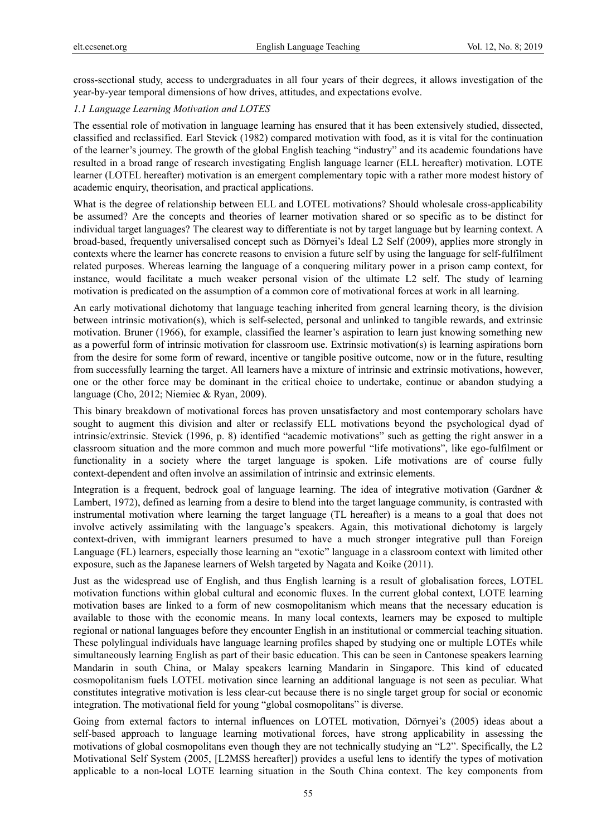cross-sectional study, access to undergraduates in all four years of their degrees, it allows investigation of the year-by-year temporal dimensions of how drives, attitudes, and expectations evolve.

## *1.1 Language Learning Motivation and LOTES*

The essential role of motivation in language learning has ensured that it has been extensively studied, dissected, classified and reclassified. Earl Stevick (1982) compared motivation with food, as it is vital for the continuation of the learner's journey. The growth of the global English teaching "industry" and its academic foundations have resulted in a broad range of research investigating English language learner (ELL hereafter) motivation. LOTE learner (LOTEL hereafter) motivation is an emergent complementary topic with a rather more modest history of academic enquiry, theorisation, and practical applications.

What is the degree of relationship between ELL and LOTEL motivations? Should wholesale cross-applicability be assumed? Are the concepts and theories of learner motivation shared or so specific as to be distinct for individual target languages? The clearest way to differentiate is not by target language but by learning context. A broad-based, frequently universalised concept such as Dörnyei's Ideal L2 Self (2009), applies more strongly in contexts where the learner has concrete reasons to envision a future self by using the language for self-fulfilment related purposes. Whereas learning the language of a conquering military power in a prison camp context, for instance, would facilitate a much weaker personal vision of the ultimate L2 self. The study of learning motivation is predicated on the assumption of a common core of motivational forces at work in all learning.

An early motivational dichotomy that language teaching inherited from general learning theory, is the division between intrinsic motivation(s), which is self-selected, personal and unlinked to tangible rewards, and extrinsic motivation. Bruner (1966), for example, classified the learner's aspiration to learn just knowing something new as a powerful form of intrinsic motivation for classroom use. Extrinsic motivation(s) is learning aspirations born from the desire for some form of reward, incentive or tangible positive outcome, now or in the future, resulting from successfully learning the target. All learners have a mixture of intrinsic and extrinsic motivations, however, one or the other force may be dominant in the critical choice to undertake, continue or abandon studying a language (Cho, 2012; Niemiec & Ryan, 2009).

This binary breakdown of motivational forces has proven unsatisfactory and most contemporary scholars have sought to augment this division and alter or reclassify ELL motivations beyond the psychological dyad of intrinsic/extrinsic. Stevick (1996, p. 8) identified "academic motivations" such as getting the right answer in a classroom situation and the more common and much more powerful "life motivations", like ego-fulfilment or functionality in a society where the target language is spoken. Life motivations are of course fully context-dependent and often involve an assimilation of intrinsic and extrinsic elements.

Integration is a frequent, bedrock goal of language learning. The idea of integrative motivation (Gardner & Lambert, 1972), defined as learning from a desire to blend into the target language community, is contrasted with instrumental motivation where learning the target language (TL hereafter) is a means to a goal that does not involve actively assimilating with the language's speakers. Again, this motivational dichotomy is largely context-driven, with immigrant learners presumed to have a much stronger integrative pull than Foreign Language (FL) learners, especially those learning an "exotic" language in a classroom context with limited other exposure, such as the Japanese learners of Welsh targeted by Nagata and Koike (2011).

Just as the widespread use of English, and thus English learning is a result of globalisation forces, LOTEL motivation functions within global cultural and economic fluxes. In the current global context, LOTE learning motivation bases are linked to a form of new cosmopolitanism which means that the necessary education is available to those with the economic means. In many local contexts, learners may be exposed to multiple regional or national languages before they encounter English in an institutional or commercial teaching situation. These polylingual individuals have language learning profiles shaped by studying one or multiple LOTEs while simultaneously learning English as part of their basic education. This can be seen in Cantonese speakers learning Mandarin in south China, or Malay speakers learning Mandarin in Singapore. This kind of educated cosmopolitanism fuels LOTEL motivation since learning an additional language is not seen as peculiar. What constitutes integrative motivation is less clear-cut because there is no single target group for social or economic integration. The motivational field for young "global cosmopolitans" is diverse.

Going from external factors to internal influences on LOTEL motivation, Dӧrnyei's (2005) ideas about a self-based approach to language learning motivational forces, have strong applicability in assessing the motivations of global cosmopolitans even though they are not technically studying an "L2". Specifically, the L2 Motivational Self System (2005, [L2MSS hereafter]) provides a useful lens to identify the types of motivation applicable to a non-local LOTE learning situation in the South China context. The key components from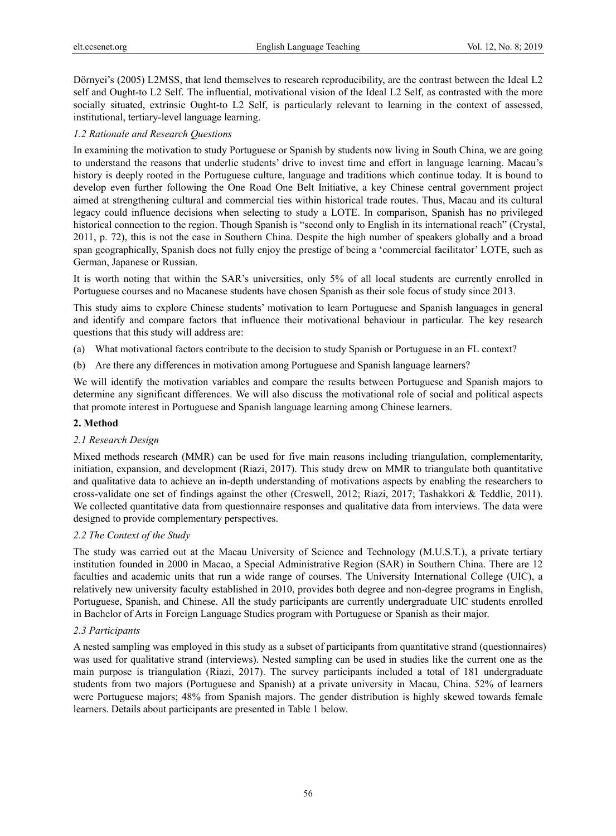Dörnyei's (2005) L2MSS, that lend themselves to research reproducibility, are the contrast between the Ideal L2 self and Ought-to L2 Self. The influential, motivational vision of the Ideal L2 Self, as contrasted with the more socially situated, extrinsic Ought-to L2 Self, is particularly relevant to learning in the context of assessed, institutional, tertiary-level language learning.

## *1.2 Rationale and Research Questions*

In examining the motivation to study Portuguese or Spanish by students now living in South China, we are going to understand the reasons that underlie students' drive to invest time and effort in language learning. Macau's history is deeply rooted in the Portuguese culture, language and traditions which continue today. It is bound to develop even further following the One Road One Belt Initiative, a key Chinese central government project aimed at strengthening cultural and commercial ties within historical trade routes. Thus, Macau and its cultural legacy could influence decisions when selecting to study a LOTE. In comparison, Spanish has no privileged historical connection to the region. Though Spanish is "second only to English in its international reach" (Crystal, 2011, p. 72), this is not the case in Southern China. Despite the high number of speakers globally and a broad span geographically, Spanish does not fully enjoy the prestige of being a 'commercial facilitator' LOTE, such as German, Japanese or Russian.

It is worth noting that within the SAR's universities, only 5% of all local students are currently enrolled in Portuguese courses and no Macanese students have chosen Spanish as their sole focus of study since 2013.

This study aims to explore Chinese students' motivation to learn Portuguese and Spanish languages in general and identify and compare factors that influence their motivational behaviour in particular. The key research questions that this study will address are:

- (a) What motivational factors contribute to the decision to study Spanish or Portuguese in an FL context?
- (b) Are there any differences in motivation among Portuguese and Spanish language learners?

We will identify the motivation variables and compare the results between Portuguese and Spanish majors to determine any significant differences. We will also discuss the motivational role of social and political aspects that promote interest in Portuguese and Spanish language learning among Chinese learners.

# **2. Method**

## *2.1 Research Design*

Mixed methods research (MMR) can be used for five main reasons including triangulation, complementarity, initiation, expansion, and development (Riazi, 2017). This study drew on MMR to triangulate both quantitative and qualitative data to achieve an in-depth understanding of motivations aspects by enabling the researchers to cross-validate one set of findings against the other (Creswell, 2012; Riazi, 2017; Tashakkori & Teddlie, 2011). We collected quantitative data from questionnaire responses and qualitative data from interviews. The data were designed to provide complementary perspectives.

## *2.2 The Context of the Study*

The study was carried out at the Macau University of Science and Technology (M.U.S.T.), a private tertiary institution founded in 2000 in Macao, a Special Administrative Region (SAR) in Southern China. There are 12 faculties and academic units that run a wide range of courses. The University International College (UIC), a relatively new university faculty established in 2010, provides both degree and non-degree programs in English, Portuguese, Spanish, and Chinese. All the study participants are currently undergraduate UIC students enrolled in Bachelor of Arts in Foreign Language Studies program with Portuguese or Spanish as their major.

## *2.3 Participants*

A nested sampling was employed in this study as a subset of participants from quantitative strand (questionnaires) was used for qualitative strand (interviews). Nested sampling can be used in studies like the current one as the main purpose is triangulation (Riazi, 2017). The survey participants included a total of 181 undergraduate students from two majors (Portuguese and Spanish) at a private university in Macau, China. 52% of learners were Portuguese majors; 48% from Spanish majors. The gender distribution is highly skewed towards female learners. Details about participants are presented in Table 1 below.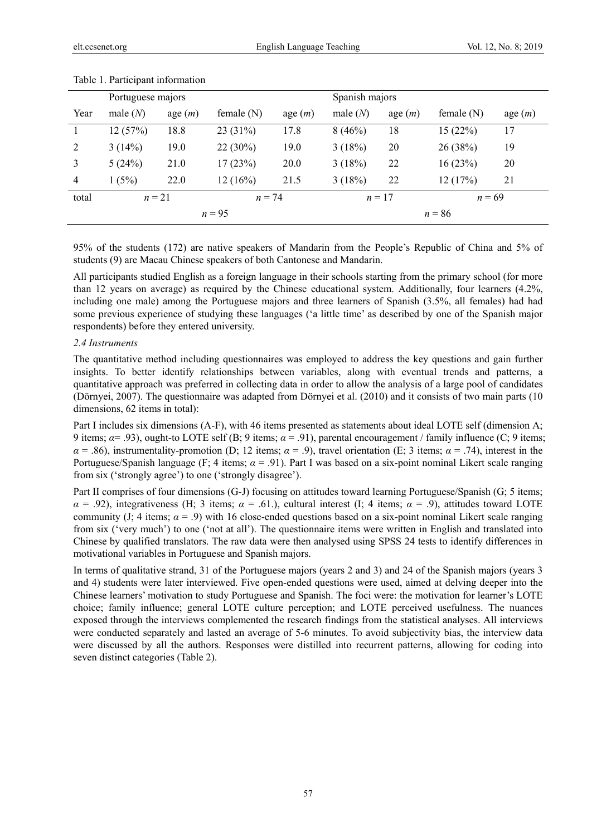|       | Portuguese majors  |        |              |           |                      | Spanish majors |              |           |  |  |  |
|-------|--------------------|--------|--------------|-----------|----------------------|----------------|--------------|-----------|--|--|--|
| Year  | male $(N)$         | age(m) | female $(N)$ | age $(m)$ | male $(N)$           | age $(m)$      | female $(N)$ | age $(m)$ |  |  |  |
|       | 12(57%)            | 18.8   | 23(31%)      | 17.8      | 8(46%)               | 18             | 15(22%)      | 17        |  |  |  |
| 2     | 3(14%)             | 19.0   | $22(30\%)$   | 19.0      | 3(18%)               | 20             | 26(38%)      | 19        |  |  |  |
| 3     | 5(24%)             | 21.0   | 17(23%)      | 20.0      | 3(18%)               | 22             | 16(23%)      | 20        |  |  |  |
| 4     | 1(5%)              | 22.0   | 12(16%)      | 21.5      | 3(18%)               | 22             | 12(17%)      | 21        |  |  |  |
| total | $n=21$<br>$n = 74$ |        |              |           | $n = 17$<br>$n = 69$ |                |              |           |  |  |  |
|       |                    |        | $n = 95$     |           | $n = 86$             |                |              |           |  |  |  |

#### Table 1. Participant information

95% of the students (172) are native speakers of Mandarin from the People's Republic of China and 5% of students (9) are Macau Chinese speakers of both Cantonese and Mandarin.

All participants studied English as a foreign language in their schools starting from the primary school (for more than 12 years on average) as required by the Chinese educational system. Additionally, four learners (4.2%, including one male) among the Portuguese majors and three learners of Spanish (3.5%, all females) had had some previous experience of studying these languages ('a little time' as described by one of the Spanish major respondents) before they entered university.

#### *2.4 Instruments*

The quantitative method including questionnaires was employed to address the key questions and gain further insights. To better identify relationships between variables, along with eventual trends and patterns, a quantitative approach was preferred in collecting data in order to allow the analysis of a large pool of candidates (Dörnyei, 2007). The questionnaire was adapted from Dörnyei et al. (2010) and it consists of two main parts (10 dimensions, 62 items in total):

Part I includes six dimensions (A-F), with 46 items presented as statements about ideal LOTE self (dimension A; 9 items;  $\alpha$  = .93), ought-to LOTE self (B; 9 items;  $\alpha$  = .91), parental encouragement / family influence (C; 9 items;  $\alpha = .86$ ), instrumentality-promotion (D; 12 items;  $\alpha = .9$ ), travel orientation (E; 3 items;  $\alpha = .74$ ), interest in the Portuguese/Spanish language (F; 4 items; *α* = .91). Part I was based on a six-point nominal Likert scale ranging from six ('strongly agree') to one ('strongly disagree').

Part II comprises of four dimensions (G-J) focusing on attitudes toward learning Portuguese/Spanish (G; 5 items;  $\alpha = .92$ ), integrativeness (H; 3 items;  $\alpha = .61$ .), cultural interest (I; 4 items;  $\alpha = .9$ ), attitudes toward LOTE community (J; 4 items;  $\alpha$  = .9) with 16 close-ended questions based on a six-point nominal Likert scale ranging from six ('very much') to one ('not at all'). The questionnaire items were written in English and translated into Chinese by qualified translators. The raw data were then analysed using SPSS 24 tests to identify differences in motivational variables in Portuguese and Spanish majors.

In terms of qualitative strand, 31 of the Portuguese majors (years 2 and 3) and 24 of the Spanish majors (years 3 and 4) students were later interviewed. Five open-ended questions were used, aimed at delving deeper into the Chinese learners' motivation to study Portuguese and Spanish. The foci were: the motivation for learner's LOTE choice; family influence; general LOTE culture perception; and LOTE perceived usefulness. The nuances exposed through the interviews complemented the research findings from the statistical analyses. All interviews were conducted separately and lasted an average of 5-6 minutes. To avoid subjectivity bias, the interview data were discussed by all the authors. Responses were distilled into recurrent patterns, allowing for coding into seven distinct categories (Table 2).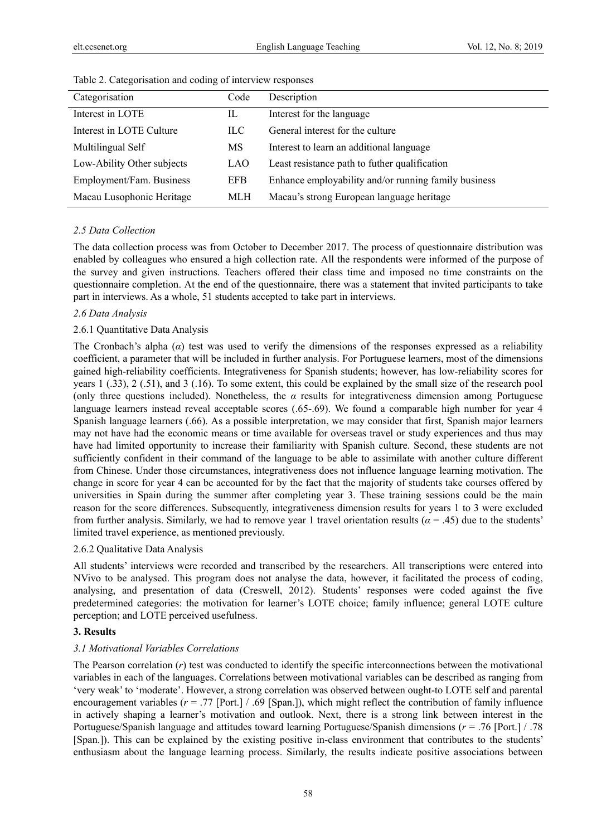| Categorisation             | Code       | Description                                          |
|----------------------------|------------|------------------------------------------------------|
| Interest in LOTE           | IL         | Interest for the language                            |
| Interest in LOTE Culture   | ILC.       | General interest for the culture                     |
| Multilingual Self          | MS         | Interest to learn an additional language             |
| Low-Ability Other subjects | LAO        | Least resistance path to futher qualification        |
| Employment/Fam. Business   | <b>EFB</b> | Enhance employability and/or running family business |
| Macau Lusophonic Heritage  | MLH        | Macau's strong European language heritage            |

Table 2. Categorisation and coding of interview responses

## *2.5 Data Collection*

The data collection process was from October to December 2017. The process of questionnaire distribution was enabled by colleagues who ensured a high collection rate. All the respondents were informed of the purpose of the survey and given instructions. Teachers offered their class time and imposed no time constraints on the questionnaire completion. At the end of the questionnaire, there was a statement that invited participants to take part in interviews. As a whole, 51 students accepted to take part in interviews.

## *2.6 Data Analysis*

## 2.6.1 Quantitative Data Analysis

The Cronbach's alpha (*α*) test was used to verify the dimensions of the responses expressed as a reliability coefficient, a parameter that will be included in further analysis. For Portuguese learners, most of the dimensions gained high-reliability coefficients. Integrativeness for Spanish students; however, has low-reliability scores for years 1 (.33), 2 (.51), and 3 (.16). To some extent, this could be explained by the small size of the research pool (only three questions included). Nonetheless, the  $\alpha$  results for integrativeness dimension among Portuguese language learners instead reveal acceptable scores (.65-.69). We found a comparable high number for year 4 Spanish language learners (.66). As a possible interpretation, we may consider that first, Spanish major learners may not have had the economic means or time available for overseas travel or study experiences and thus may have had limited opportunity to increase their familiarity with Spanish culture. Second, these students are not sufficiently confident in their command of the language to be able to assimilate with another culture different from Chinese. Under those circumstances, integrativeness does not influence language learning motivation. The change in score for year 4 can be accounted for by the fact that the majority of students take courses offered by universities in Spain during the summer after completing year 3. These training sessions could be the main reason for the score differences. Subsequently, integrativeness dimension results for years 1 to 3 were excluded from further analysis. Similarly, we had to remove year 1 travel orientation results  $(a = .45)$  due to the students' limited travel experience, as mentioned previously.

#### 2.6.2 Qualitative Data Analysis

All students' interviews were recorded and transcribed by the researchers. All transcriptions were entered into NVivo to be analysed. This program does not analyse the data, however, it facilitated the process of coding, analysing, and presentation of data (Creswell, 2012). Students' responses were coded against the five predetermined categories: the motivation for learner's LOTE choice; family influence; general LOTE culture perception; and LOTE perceived usefulness.

## **3. Results**

## *3.1 Motivational Variables Correlations*

The Pearson correlation (*r*) test was conducted to identify the specific interconnections between the motivational variables in each of the languages. Correlations between motivational variables can be described as ranging from 'very weak' to 'moderate'. However, a strong correlation was observed between ought-to LOTE self and parental encouragement variables (*r* = .77 [Port.] / .69 [Span.]), which might reflect the contribution of family influence in actively shaping a learner's motivation and outlook. Next, there is a strong link between interest in the Portuguese/Spanish language and attitudes toward learning Portuguese/Spanish dimensions (*r* = .76 [Port.] / .78 [Span.]). This can be explained by the existing positive in-class environment that contributes to the students' enthusiasm about the language learning process. Similarly, the results indicate positive associations between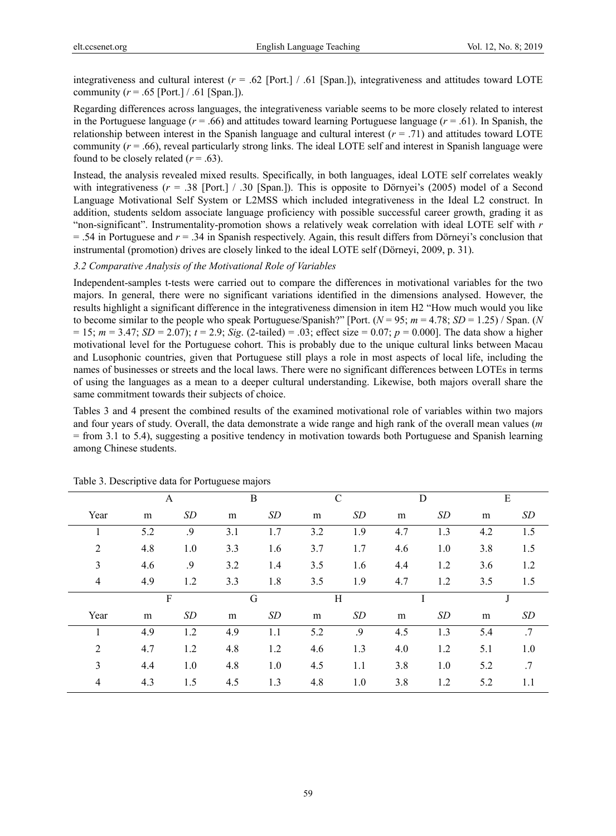integrativeness and cultural interest (*r* = .62 [Port.] / .61 [Span.]), integrativeness and attitudes toward LOTE community ( $r = .65$  [Port.] / .61 [Span.]).

Regarding differences across languages, the integrativeness variable seems to be more closely related to interest in the Portuguese language ( $r = .66$ ) and attitudes toward learning Portuguese language ( $r = .61$ ). In Spanish, the relationship between interest in the Spanish language and cultural interest  $(r = .71)$  and attitudes toward LOTE community (*r* = .66), reveal particularly strong links. The ideal LOTE self and interest in Spanish language were found to be closely related  $(r = .63)$ .

Instead, the analysis revealed mixed results. Specifically, in both languages, ideal LOTE self correlates weakly with integrativeness ( $r = .38$  [Port.] / .30 [Span.]). This is opposite to Dörnyei's (2005) model of a Second Language Motivational Self System or L2MSS which included integrativeness in the Ideal L2 construct. In addition, students seldom associate language proficiency with possible successful career growth, grading it as "non-significant". Instrumentality-promotion shows a relatively weak correlation with ideal LOTE self with *r*  = .54 in Portuguese and *r* = .34 in Spanish respectively. Again, this result differs from Dörneyi's conclusion that instrumental (promotion) drives are closely linked to the ideal LOTE self (Dörneyi, 2009, p. 31).

## *3.2 Comparative Analysis of the Motivational Role of Variables*

Independent-samples t-tests were carried out to compare the differences in motivational variables for the two majors. In general, there were no significant variations identified in the dimensions analysed. However, the results highlight a significant difference in the integrativeness dimension in item H2 "How much would you like to become similar to the people who speak Portuguese/Spanish?" [Port.  $(N = 95; m = 4.78; SD = 1.25)$  / Span. (*N*  $= 15$ ;  $m = 3.47$ ;  $SD = 2.07$ ;  $t = 2.9$ ;  $Sig.$  (2-tailed) = .03; effect size = 0.07;  $p = 0.000$ ]. The data show a higher motivational level for the Portuguese cohort. This is probably due to the unique cultural links between Macau and Lusophonic countries, given that Portuguese still plays a role in most aspects of local life, including the names of businesses or streets and the local laws. There were no significant differences between LOTEs in terms of using the languages as a mean to a deeper cultural understanding. Likewise, both majors overall share the same commitment towards their subjects of choice.

Tables 3 and 4 present the combined results of the examined motivational role of variables within two majors and four years of study. Overall, the data demonstrate a wide range and high rank of the overall mean values (*m* = from 3.1 to 5.4), suggesting a positive tendency in motivation towards both Portuguese and Spanish learning among Chinese students.

|                | A            |     | B   |     | $\mathcal{C}$ |     | D   |     | ${\bf E}$ |     |
|----------------|--------------|-----|-----|-----|---------------|-----|-----|-----|-----------|-----|
| Year           | m            | SD  | m   | SD  | m             | SD  | m   | SD  | m         | SD  |
|                | 5.2          | .9  | 3.1 | 1.7 | 3.2           | 1.9 | 4.7 | 1.3 | 4.2       | 1.5 |
| 2              | 4.8          | 1.0 | 3.3 | 1.6 | 3.7           | 1.7 | 4.6 | 1.0 | 3.8       | 1.5 |
| 3              | 4.6          | .9  | 3.2 | 1.4 | 3.5           | 1.6 | 4.4 | 1.2 | 3.6       | 1.2 |
| 4              | 4.9          | 1.2 | 3.3 | 1.8 | 3.5           | 1.9 | 4.7 | 1.2 | 3.5       | 1.5 |
|                | $\mathbf{F}$ |     | G   |     | H             |     |     |     | J         |     |
| Year           | m            | SD  | m   | SD  | m             | SD  | m   | SD  | m         | SD  |
|                | 4.9          | 1.2 | 4.9 | 1.1 | 5.2           | .9  | 4.5 | 1.3 | 5.4       | .7  |
| 2              | 4.7          | 1.2 | 4.8 | 1.2 | 4.6           | 1.3 | 4.0 | 1.2 | 5.1       | 1.0 |
| 3              | 4.4          | 1.0 | 4.8 | 1.0 | 4.5           | 1.1 | 3.8 | 1.0 | 5.2       | .7  |
| $\overline{4}$ | 4.3          | 1.5 | 4.5 | 1.3 | 4.8           | 1.0 | 3.8 | 1.2 | 5.2       | 1.1 |

Table 3. Descriptive data for Portuguese majors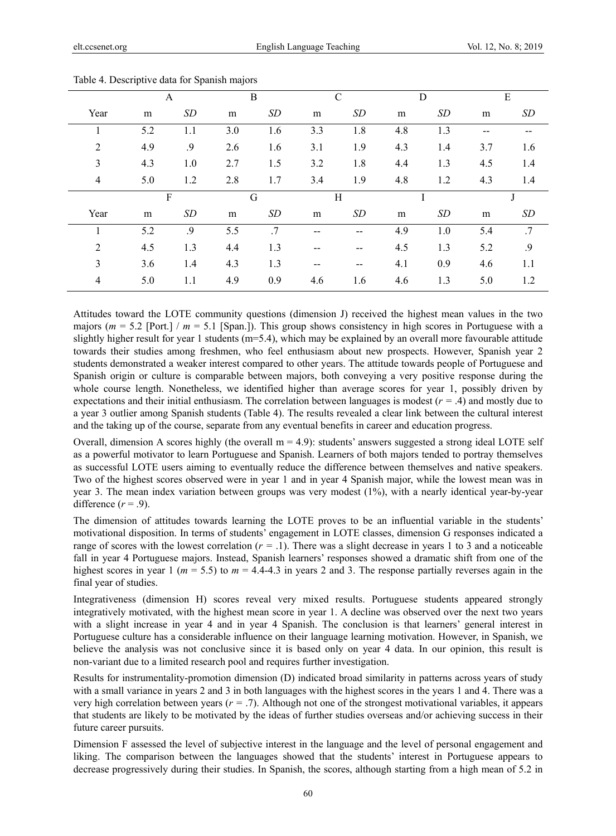|      |     | A   |     | B   |       | $\mathcal{C}$ | D   |     |     | E   |
|------|-----|-----|-----|-----|-------|---------------|-----|-----|-----|-----|
| Year | m   | SD  | m   | SD  | m     | SD            | m   | SD  | m   | SD  |
| 1    | 5.2 | 1.1 | 3.0 | 1.6 | 3.3   | 1.8           | 4.8 | 1.3 | --  |     |
| 2    | 4.9 | .9  | 2.6 | 1.6 | 3.1   | 1.9           | 4.3 | 1.4 | 3.7 | 1.6 |
| 3    | 4.3 | 1.0 | 2.7 | 1.5 | 3.2   | 1.8           | 4.4 | 1.3 | 4.5 | 1.4 |
| 4    | 5.0 | 1.2 | 2.8 | 1.7 | 3.4   | 1.9           | 4.8 | 1.2 | 4.3 | 1.4 |
|      | F   |     | G   |     | Η     |               | I   |     | J   |     |
| Year | m   | SD  | m   | SD  | m     | SD            | m   | SD  | m   | SD  |
|      | 5.2 | .9  | 5.5 | .7  |       | --            | 4.9 | 1.0 | 5.4 | .7  |
| 2    | 4.5 | 1.3 | 4.4 | 1.3 |       |               | 4.5 | 1.3 | 5.2 | .9  |
| 3    | 3.6 | 1.4 | 4.3 | 1.3 | $- -$ | --            | 4.1 | 0.9 | 4.6 | 1.1 |
| 4    | 5.0 | 1.1 | 4.9 | 0.9 | 4.6   | 1.6           | 4.6 | 1.3 | 5.0 | 1.2 |

Table 4. Descriptive data for Spanish majors

Attitudes toward the LOTE community questions (dimension J) received the highest mean values in the two majors (*m* = 5.2 [Port.] / *m* = 5.1 [Span.]). This group shows consistency in high scores in Portuguese with a slightly higher result for year 1 students (m=5.4), which may be explained by an overall more favourable attitude towards their studies among freshmen, who feel enthusiasm about new prospects. However, Spanish year 2 students demonstrated a weaker interest compared to other years. The attitude towards people of Portuguese and Spanish origin or culture is comparable between majors, both conveying a very positive response during the whole course length. Nonetheless, we identified higher than average scores for year 1, possibly driven by expectations and their initial enthusiasm. The correlation between languages is modest (*r =* .4) and mostly due to a year 3 outlier among Spanish students (Table 4). The results revealed a clear link between the cultural interest and the taking up of the course, separate from any eventual benefits in career and education progress.

Overall, dimension A scores highly (the overall  $m = 4.9$ ): students' answers suggested a strong ideal LOTE self as a powerful motivator to learn Portuguese and Spanish. Learners of both majors tended to portray themselves as successful LOTE users aiming to eventually reduce the difference between themselves and native speakers. Two of the highest scores observed were in year 1 and in year 4 Spanish major, while the lowest mean was in year 3. The mean index variation between groups was very modest (1%), with a nearly identical year-by-year difference  $(r = .9)$ .

The dimension of attitudes towards learning the LOTE proves to be an influential variable in the students' motivational disposition. In terms of students' engagement in LOTE classes, dimension G responses indicated a range of scores with the lowest correlation (*r =* .1). There was a slight decrease in years 1 to 3 and a noticeable fall in year 4 Portuguese majors. Instead, Spanish learners' responses showed a dramatic shift from one of the highest scores in year 1 ( $m = 5.5$ ) to  $m = 4.4$ -4.3 in years 2 and 3. The response partially reverses again in the final year of studies.

Integrativeness (dimension H) scores reveal very mixed results. Portuguese students appeared strongly integratively motivated, with the highest mean score in year 1. A decline was observed over the next two years with a slight increase in year 4 and in year 4 Spanish. The conclusion is that learners' general interest in Portuguese culture has a considerable influence on their language learning motivation. However, in Spanish, we believe the analysis was not conclusive since it is based only on year 4 data. In our opinion, this result is non-variant due to a limited research pool and requires further investigation.

Results for instrumentality-promotion dimension (D) indicated broad similarity in patterns across years of study with a small variance in years 2 and 3 in both languages with the highest scores in the years 1 and 4. There was a very high correlation between years (*r =* .7). Although not one of the strongest motivational variables, it appears that students are likely to be motivated by the ideas of further studies overseas and/or achieving success in their future career pursuits.

Dimension F assessed the level of subjective interest in the language and the level of personal engagement and liking. The comparison between the languages showed that the students' interest in Portuguese appears to decrease progressively during their studies. In Spanish, the scores, although starting from a high mean of 5.2 in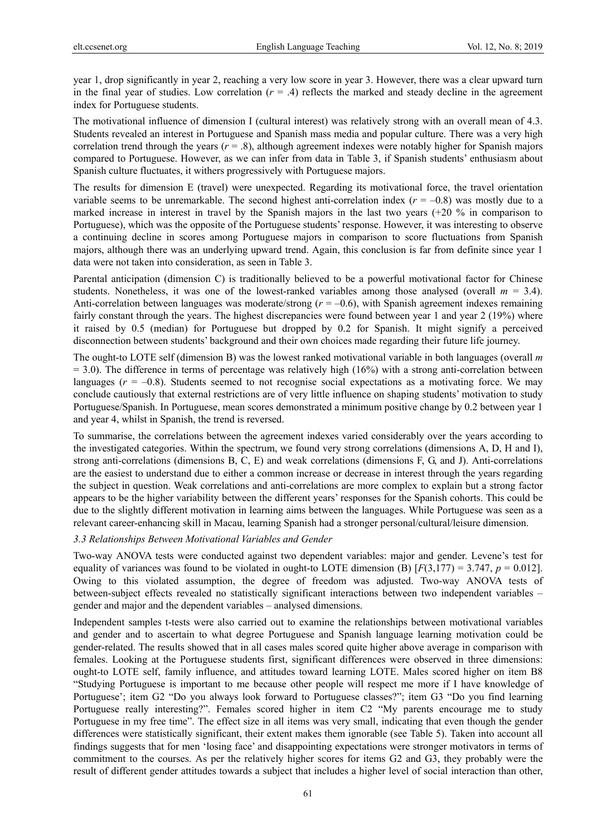year 1, drop significantly in year 2, reaching a very low score in year 3. However, there was a clear upward turn in the final year of studies. Low correlation  $(r = .4)$  reflects the marked and steady decline in the agreement index for Portuguese students.

The motivational influence of dimension I (cultural interest) was relatively strong with an overall mean of 4.3. Students revealed an interest in Portuguese and Spanish mass media and popular culture. There was a very high correlation trend through the years  $(r = .8)$ , although agreement indexes were notably higher for Spanish majors compared to Portuguese. However, as we can infer from data in Table 3, if Spanish students' enthusiasm about Spanish culture fluctuates, it withers progressively with Portuguese majors.

The results for dimension E (travel) were unexpected. Regarding its motivational force, the travel orientation variable seems to be unremarkable. The second highest anti-correlation index  $(r = -0.8)$  was mostly due to a marked increase in interest in travel by the Spanish majors in the last two years (+20 % in comparison to Portuguese), which was the opposite of the Portuguese students' response. However, it was interesting to observe a continuing decline in scores among Portuguese majors in comparison to score fluctuations from Spanish majors, although there was an underlying upward trend. Again, this conclusion is far from definite since year 1 data were not taken into consideration, as seen in Table 3.

Parental anticipation (dimension C) is traditionally believed to be a powerful motivational factor for Chinese students. Nonetheless, it was one of the lowest-ranked variables among those analysed (overall  $m = 3.4$ ). Anti-correlation between languages was moderate/strong ( $r = -0.6$ ), with Spanish agreement indexes remaining fairly constant through the years. The highest discrepancies were found between year 1 and year 2 (19%) where it raised by 0.5 (median) for Portuguese but dropped by 0.2 for Spanish. It might signify a perceived disconnection between students' background and their own choices made regarding their future life journey.

The ought-to LOTE self (dimension B) was the lowest ranked motivational variable in both languages (overall *m*  $= 3.0$ ). The difference in terms of percentage was relatively high (16%) with a strong anti-correlation between languages  $(r = -0.8)$ . Students seemed to not recognise social expectations as a motivating force. We may conclude cautiously that external restrictions are of very little influence on shaping students' motivation to study Portuguese/Spanish. In Portuguese, mean scores demonstrated a minimum positive change by 0.2 between year 1 and year 4, whilst in Spanish, the trend is reversed.

To summarise, the correlations between the agreement indexes varied considerably over the years according to the investigated categories. Within the spectrum, we found very strong correlations (dimensions A, D, H and I), strong anti-correlations (dimensions B, C, E) and weak correlations (dimensions F, G, and J). Anti-correlations are the easiest to understand due to either a common increase or decrease in interest through the years regarding the subject in question. Weak correlations and anti-correlations are more complex to explain but a strong factor appears to be the higher variability between the different years' responses for the Spanish cohorts. This could be due to the slightly different motivation in learning aims between the languages. While Portuguese was seen as a relevant career-enhancing skill in Macau, learning Spanish had a stronger personal/cultural/leisure dimension.

## *3.3 Relationships Between Motivational Variables and Gender*

Two-way ANOVA tests were conducted against two dependent variables: major and gender. Levene's test for equality of variances was found to be violated in ought-to LOTE dimension (B)  $[F(3,177) = 3.747, p = 0.012]$ . Owing to this violated assumption, the degree of freedom was adjusted. Two-way ANOVA tests of between-subject effects revealed no statistically significant interactions between two independent variables – gender and major and the dependent variables – analysed dimensions.

Independent samples t-tests were also carried out to examine the relationships between motivational variables and gender and to ascertain to what degree Portuguese and Spanish language learning motivation could be gender-related. The results showed that in all cases males scored quite higher above average in comparison with females. Looking at the Portuguese students first, significant differences were observed in three dimensions: ought-to LOTE self, family influence, and attitudes toward learning LOTE. Males scored higher on item B8 "Studying Portuguese is important to me because other people will respect me more if I have knowledge of Portuguese'; item G2 "Do you always look forward to Portuguese classes?"; item G3 "Do you find learning Portuguese really interesting?". Females scored higher in item C2 "My parents encourage me to study Portuguese in my free time". The effect size in all items was very small, indicating that even though the gender differences were statistically significant, their extent makes them ignorable (see Table 5). Taken into account all findings suggests that for men 'losing face' and disappointing expectations were stronger motivators in terms of commitment to the courses. As per the relatively higher scores for items G2 and G3, they probably were the result of different gender attitudes towards a subject that includes a higher level of social interaction than other,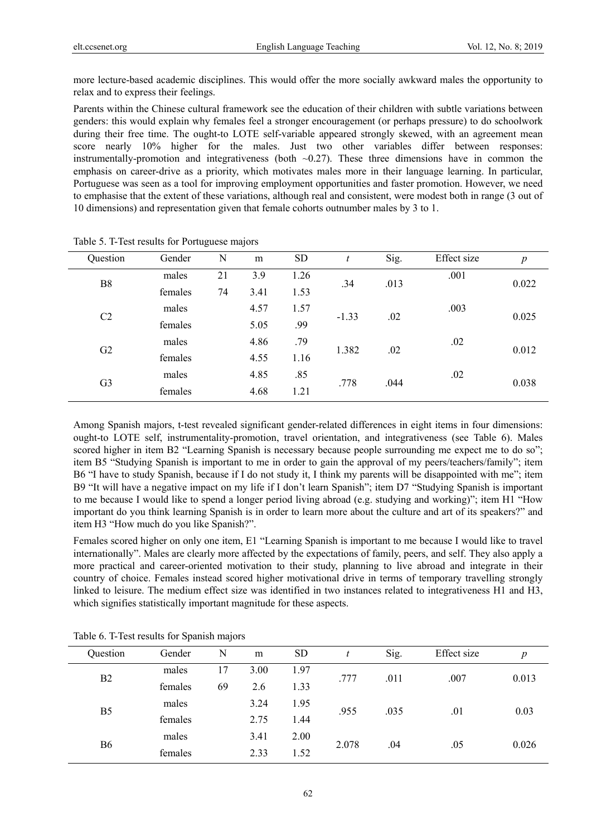more lecture-based academic disciplines. This would offer the more socially awkward males the opportunity to relax and to express their feelings.

Parents within the Chinese cultural framework see the education of their children with subtle variations between genders: this would explain why females feel a stronger encouragement (or perhaps pressure) to do schoolwork during their free time. The ought-to LOTE self-variable appeared strongly skewed, with an agreement mean score nearly 10% higher for the males. Just two other variables differ between responses: instrumentally-promotion and integrativeness (both  $\sim$  0.27). These three dimensions have in common the emphasis on career-drive as a priority, which motivates males more in their language learning. In particular, Portuguese was seen as a tool for improving employment opportunities and faster promotion. However, we need to emphasise that the extent of these variations, although real and consistent, were modest both in range (3 out of 10 dimensions) and representation given that female cohorts outnumber males by 3 to 1.

| Question       | Gender  | N  | m    | <b>SD</b> |         | Sig. | Effect size | $\boldsymbol{p}$ |
|----------------|---------|----|------|-----------|---------|------|-------------|------------------|
| B <sub>8</sub> | males   | 21 | 3.9  | 1.26      | .34     | .013 | .001        | 0.022            |
|                | females | 74 | 3.41 | 1.53      |         |      |             |                  |
| C2             | males   |    | 4.57 | 1.57      | $-1.33$ | .02  | .003        | 0.025            |
|                | females |    | 5.05 | .99       |         |      |             |                  |
| G2             | males   |    | 4.86 | .79       | 1.382   | .02  | .02         | 0.012            |
|                | females |    | 4.55 | 1.16      |         |      |             |                  |
|                | males   |    | 4.85 | .85       | .778    |      | .02         | 0.038            |
| G <sub>3</sub> | females |    | 4.68 | 1.21      |         |      | .044        |                  |

Table 5. T-Test results for Portuguese majors

Among Spanish majors, t-test revealed significant gender-related differences in eight items in four dimensions: ought-to LOTE self, instrumentality-promotion, travel orientation, and integrativeness (see Table 6). Males scored higher in item B2 "Learning Spanish is necessary because people surrounding me expect me to do so"; item B5 "Studying Spanish is important to me in order to gain the approval of my peers/teachers/family"; item B6 "I have to study Spanish, because if I do not study it, I think my parents will be disappointed with me"; item B9 "It will have a negative impact on my life if I don't learn Spanish"; item D7 "Studying Spanish is important to me because I would like to spend a longer period living abroad (e.g. studying and working)"; item H1 "How important do you think learning Spanish is in order to learn more about the culture and art of its speakers?" and item H3 "How much do you like Spanish?".

Females scored higher on only one item, E1 "Learning Spanish is important to me because I would like to travel internationally". Males are clearly more affected by the expectations of family, peers, and self. They also apply a more practical and career-oriented motivation to their study, planning to live abroad and integrate in their country of choice. Females instead scored higher motivational drive in terms of temporary travelling strongly linked to leisure. The medium effect size was identified in two instances related to integrativeness H1 and H3, which signifies statistically important magnitude for these aspects.

| Question       | Gender  | N  | m    | <b>SD</b> |       | Sig. | Effect size | p     |
|----------------|---------|----|------|-----------|-------|------|-------------|-------|
|                | males   | 17 | 3.00 | 1.97      | .777  | .011 | .007        |       |
| <b>B2</b>      | females | 69 | 2.6  | 1.33      |       |      |             | 0.013 |
| B <sub>5</sub> | males   |    | 3.24 | 1.95      | .955  | .035 |             |       |
|                | females |    | 2.75 | 1.44      |       |      | .01         | 0.03  |
|                | males   |    | 3.41 | 2.00      |       |      |             |       |
| <b>B6</b>      | females |    | 2.33 | 1.52      | 2.078 | .04  | .05         | 0.026 |

Table 6. T-Test results for Spanish majors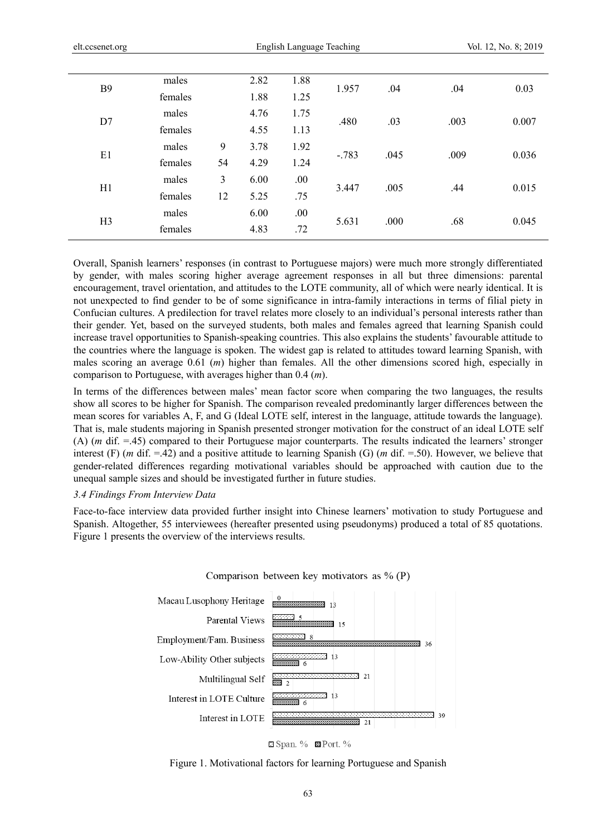| <b>B</b> 9     | males   |    | 2.82 | 1.88 | 1.957   | .04  | .04  | 0.03  |  |
|----------------|---------|----|------|------|---------|------|------|-------|--|
|                | females |    | 1.88 | 1.25 |         |      |      |       |  |
| D7             | males   |    | 4.76 | 1.75 | .480    | .03  |      |       |  |
|                | females |    | 4.55 | 1.13 |         |      | .003 | 0.007 |  |
| E1             | males   | 9  | 3.78 | 1.92 | $-.783$ | .045 | .009 | 0.036 |  |
|                | females | 54 | 4.29 | 1.24 |         |      |      |       |  |
|                | males   | 3  | 6.00 | .00  |         |      | .44  | 0.015 |  |
| H1             | females | 12 | 5.25 | .75  | 3.447   | .005 |      |       |  |
| H <sub>3</sub> | males   |    | 6.00 | .00  |         |      | .68  | 0.045 |  |
|                | females |    | 4.83 | .72  | 5.631   | .000 |      |       |  |
|                |         |    |      |      |         |      |      |       |  |

Overall, Spanish learners' responses (in contrast to Portuguese majors) were much more strongly differentiated by gender, with males scoring higher average agreement responses in all but three dimensions: parental encouragement, travel orientation, and attitudes to the LOTE community, all of which were nearly identical. It is not unexpected to find gender to be of some significance in intra-family interactions in terms of filial piety in Confucian cultures. A predilection for travel relates more closely to an individual's personal interests rather than their gender. Yet, based on the surveyed students, both males and females agreed that learning Spanish could increase travel opportunities to Spanish-speaking countries. This also explains the students' favourable attitude to the countries where the language is spoken. The widest gap is related to attitudes toward learning Spanish, with males scoring an average 0.61 (*m*) higher than females. All the other dimensions scored high, especially in comparison to Portuguese, with averages higher than 0.4 (*m*).

In terms of the differences between males' mean factor score when comparing the two languages, the results show all scores to be higher for Spanish. The comparison revealed predominantly larger differences between the mean scores for variables A, F, and G (Ideal LOTE self, interest in the language, attitude towards the language). That is, male students majoring in Spanish presented stronger motivation for the construct of an ideal LOTE self (A) (*m* dif. =.45) compared to their Portuguese major counterparts. The results indicated the learners' stronger interest (F) (*m* dif. =.42) and a positive attitude to learning Spanish (G) (*m* dif. =.50). However, we believe that gender-related differences regarding motivational variables should be approached with caution due to the unequal sample sizes and should be investigated further in future studies.

## *3.4 Findings From Interview Data*

Face-to-face interview data provided further insight into Chinese learners' motivation to study Portuguese and Spanish. Altogether, 55 interviewees (hereafter presented using pseudonyms) produced a total of 85 quotations. Figure 1 presents the overview of the interviews results.





#### Figure 1. Motivational factors for learning Portuguese and Spanish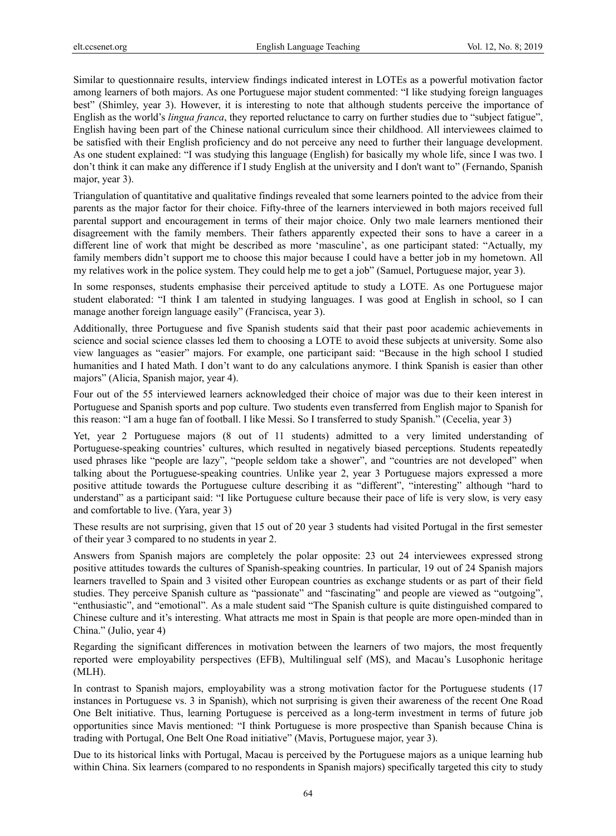Similar to questionnaire results, interview findings indicated interest in LOTEs as a powerful motivation factor among learners of both majors. As one Portuguese major student commented: "I like studying foreign languages best" (Shimley, year 3). However, it is interesting to note that although students perceive the importance of English as the world's *lingua franca*, they reported reluctance to carry on further studies due to "subject fatigue", English having been part of the Chinese national curriculum since their childhood. All interviewees claimed to be satisfied with their English proficiency and do not perceive any need to further their language development. As one student explained: "I was studying this language (English) for basically my whole life, since I was two. I don't think it can make any difference if I study English at the university and I don't want to" (Fernando, Spanish major, year 3).

Triangulation of quantitative and qualitative findings revealed that some learners pointed to the advice from their parents as the major factor for their choice. Fifty-three of the learners interviewed in both majors received full parental support and encouragement in terms of their major choice. Only two male learners mentioned their disagreement with the family members. Their fathers apparently expected their sons to have a career in a different line of work that might be described as more 'masculine', as one participant stated: "Actually, my family members didn't support me to choose this major because I could have a better job in my hometown. All my relatives work in the police system. They could help me to get a job" (Samuel, Portuguese major, year 3).

In some responses, students emphasise their perceived aptitude to study a LOTE. As one Portuguese major student elaborated: "I think I am talented in studying languages. I was good at English in school, so I can manage another foreign language easily" (Francisca, year 3).

Additionally, three Portuguese and five Spanish students said that their past poor academic achievements in science and social science classes led them to choosing a LOTE to avoid these subjects at university. Some also view languages as "easier" majors. For example, one participant said: "Because in the high school I studied humanities and I hated Math. I don't want to do any calculations anymore. I think Spanish is easier than other majors" (Alicia, Spanish major, year 4).

Four out of the 55 interviewed learners acknowledged their choice of major was due to their keen interest in Portuguese and Spanish sports and pop culture. Two students even transferred from English major to Spanish for this reason: "I am a huge fan of football. I like Messi. So I transferred to study Spanish." (Cecelia, year 3)

Yet, year 2 Portuguese majors (8 out of 11 students) admitted to a very limited understanding of Portuguese-speaking countries' cultures, which resulted in negatively biased perceptions. Students repeatedly used phrases like "people are lazy", "people seldom take a shower", and "countries are not developed" when talking about the Portuguese-speaking countries. Unlike year 2, year 3 Portuguese majors expressed a more positive attitude towards the Portuguese culture describing it as "different", "interesting" although "hard to understand" as a participant said: "I like Portuguese culture because their pace of life is very slow, is very easy and comfortable to live. (Yara, year 3)

These results are not surprising, given that 15 out of 20 year 3 students had visited Portugal in the first semester of their year 3 compared to no students in year 2.

Answers from Spanish majors are completely the polar opposite: 23 out 24 interviewees expressed strong positive attitudes towards the cultures of Spanish-speaking countries. In particular, 19 out of 24 Spanish majors learners travelled to Spain and 3 visited other European countries as exchange students or as part of their field studies. They perceive Spanish culture as "passionate" and "fascinating" and people are viewed as "outgoing", "enthusiastic", and "emotional". As a male student said "The Spanish culture is quite distinguished compared to Chinese culture and it's interesting. What attracts me most in Spain is that people are more open-minded than in China." (Julio, year 4)

Regarding the significant differences in motivation between the learners of two majors, the most frequently reported were employability perspectives (EFB), Multilingual self (MS), and Macau's Lusophonic heritage (MLH).

In contrast to Spanish majors, employability was a strong motivation factor for the Portuguese students (17 instances in Portuguese vs. 3 in Spanish), which not surprising is given their awareness of the recent One Road One Belt initiative. Thus, learning Portuguese is perceived as a long-term investment in terms of future job opportunities since Mavis mentioned: "I think Portuguese is more prospective than Spanish because China is trading with Portugal, One Belt One Road initiative" (Mavis, Portuguese major, year 3).

Due to its historical links with Portugal, Macau is perceived by the Portuguese majors as a unique learning hub within China. Six learners (compared to no respondents in Spanish majors) specifically targeted this city to study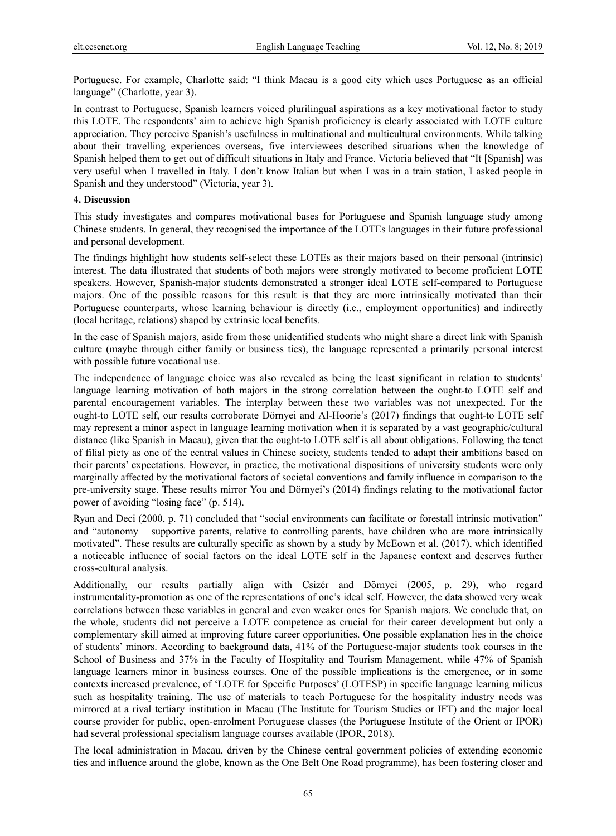Portuguese. For example, Charlotte said: "I think Macau is a good city which uses Portuguese as an official language" (Charlotte, year 3).

In contrast to Portuguese, Spanish learners voiced plurilingual aspirations as a key motivational factor to study this LOTE. The respondents' aim to achieve high Spanish proficiency is clearly associated with LOTE culture appreciation. They perceive Spanish's usefulness in multinational and multicultural environments. While talking about their travelling experiences overseas, five interviewees described situations when the knowledge of Spanish helped them to get out of difficult situations in Italy and France. Victoria believed that "It [Spanish] was very useful when I travelled in Italy. I don't know Italian but when I was in a train station, I asked people in Spanish and they understood" (Victoria, year 3).

## **4. Discussion**

This study investigates and compares motivational bases for Portuguese and Spanish language study among Chinese students. In general, they recognised the importance of the LOTEs languages in their future professional and personal development.

The findings highlight how students self-select these LOTEs as their majors based on their personal (intrinsic) interest. The data illustrated that students of both majors were strongly motivated to become proficient LOTE speakers. However, Spanish-major students demonstrated a stronger ideal LOTE self-compared to Portuguese majors. One of the possible reasons for this result is that they are more intrinsically motivated than their Portuguese counterparts, whose learning behaviour is directly (i.e., employment opportunities) and indirectly (local heritage, relations) shaped by extrinsic local benefits.

In the case of Spanish majors, aside from those unidentified students who might share a direct link with Spanish culture (maybe through either family or business ties), the language represented a primarily personal interest with possible future vocational use.

The independence of language choice was also revealed as being the least significant in relation to students' language learning motivation of both majors in the strong correlation between the ought-to LOTE self and parental encouragement variables. The interplay between these two variables was not unexpected. For the ought-to LOTE self, our results corroborate Dörnyei and Al-Hoorie's (2017) findings that ought-to LOTE self may represent a minor aspect in language learning motivation when it is separated by a vast geographic/cultural distance (like Spanish in Macau), given that the ought-to LOTE self is all about obligations. Following the tenet of filial piety as one of the central values in Chinese society, students tended to adapt their ambitions based on their parents' expectations. However, in practice, the motivational dispositions of university students were only marginally affected by the motivational factors of societal conventions and family influence in comparison to the pre-university stage. These results mirror You and Dörnyei's (2014) findings relating to the motivational factor power of avoiding "losing face" (p. 514).

Ryan and Deci (2000, p. 71) concluded that "social environments can facilitate or forestall intrinsic motivation" and "autonomy – supportive parents, relative to controlling parents, have children who are more intrinsically motivated". These results are culturally specific as shown by a study by McEown et al. (2017), which identified a noticeable influence of social factors on the ideal LOTE self in the Japanese context and deserves further cross-cultural analysis.

Additionally, our results partially align with Csizér and Dörnyei (2005, p. 29), who regard instrumentality-promotion as one of the representations of one's ideal self. However, the data showed very weak correlations between these variables in general and even weaker ones for Spanish majors. We conclude that, on the whole, students did not perceive a LOTE competence as crucial for their career development but only a complementary skill aimed at improving future career opportunities. One possible explanation lies in the choice of students' minors. According to background data, 41% of the Portuguese-major students took courses in the School of Business and 37% in the Faculty of Hospitality and Tourism Management, while 47% of Spanish language learners minor in business courses. One of the possible implications is the emergence, or in some contexts increased prevalence, of 'LOTE for Specific Purposes' (LOTESP) in specific language learning milieus such as hospitality training. The use of materials to teach Portuguese for the hospitality industry needs was mirrored at a rival tertiary institution in Macau (The Institute for Tourism Studies or IFT) and the major local course provider for public, open-enrolment Portuguese classes (the Portuguese Institute of the Orient or IPOR) had several professional specialism language courses available (IPOR, 2018).

The local administration in Macau, driven by the Chinese central government policies of extending economic ties and influence around the globe, known as the One Belt One Road programme), has been fostering closer and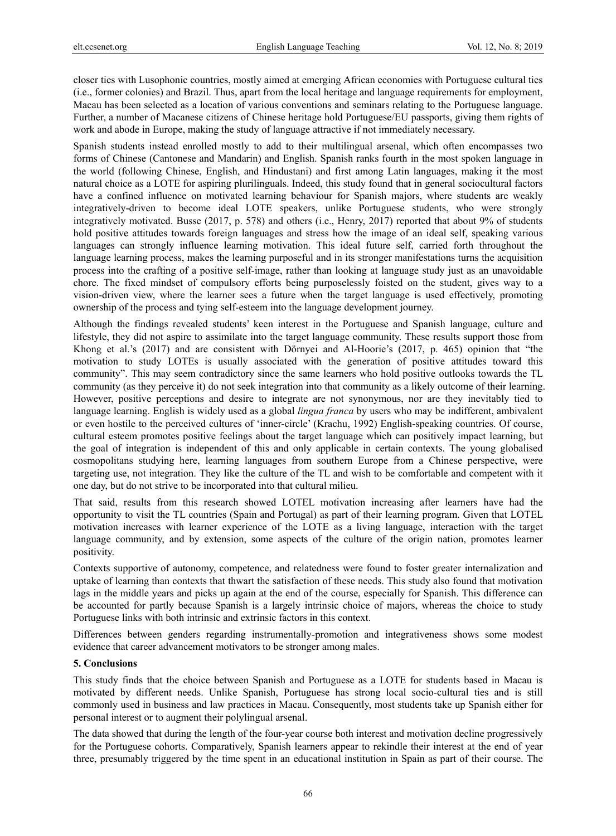closer ties with Lusophonic countries, mostly aimed at emerging African economies with Portuguese cultural ties (i.e., former colonies) and Brazil. Thus, apart from the local heritage and language requirements for employment, Macau has been selected as a location of various conventions and seminars relating to the Portuguese language. Further, a number of Macanese citizens of Chinese heritage hold Portuguese/EU passports, giving them rights of work and abode in Europe, making the study of language attractive if not immediately necessary.

Spanish students instead enrolled mostly to add to their multilingual arsenal, which often encompasses two forms of Chinese (Cantonese and Mandarin) and English. Spanish ranks fourth in the most spoken language in the world (following Chinese, English, and Hindustani) and first among Latin languages, making it the most natural choice as a LOTE for aspiring plurilinguals. Indeed, this study found that in general sociocultural factors have a confined influence on motivated learning behaviour for Spanish majors, where students are weakly integratively-driven to become ideal LOTE speakers, unlike Portuguese students, who were strongly integratively motivated. Busse (2017, p. 578) and others (i.e., Henry, 2017) reported that about 9% of students hold positive attitudes towards foreign languages and stress how the image of an ideal self, speaking various languages can strongly influence learning motivation. This ideal future self, carried forth throughout the language learning process, makes the learning purposeful and in its stronger manifestations turns the acquisition process into the crafting of a positive self-image, rather than looking at language study just as an unavoidable chore. The fixed mindset of compulsory efforts being purposelessly foisted on the student, gives way to a vision-driven view, where the learner sees a future when the target language is used effectively, promoting ownership of the process and tying self-esteem into the language development journey.

Although the findings revealed students' keen interest in the Portuguese and Spanish language, culture and lifestyle, they did not aspire to assimilate into the target language community. These results support those from Khong et al.'s (2017) and are consistent with Dörnyei and Al-Hoorie's (2017, p. 465) opinion that "the motivation to study LOTEs is usually associated with the generation of positive attitudes toward this community". This may seem contradictory since the same learners who hold positive outlooks towards the TL community (as they perceive it) do not seek integration into that community as a likely outcome of their learning. However, positive perceptions and desire to integrate are not synonymous, nor are they inevitably tied to language learning. English is widely used as a global *lingua franca* by users who may be indifferent, ambivalent or even hostile to the perceived cultures of 'inner-circle' (Krachu, 1992) English-speaking countries. Of course, cultural esteem promotes positive feelings about the target language which can positively impact learning, but the goal of integration is independent of this and only applicable in certain contexts. The young globalised cosmopolitans studying here, learning languages from southern Europe from a Chinese perspective, were targeting use, not integration. They like the culture of the TL and wish to be comfortable and competent with it one day, but do not strive to be incorporated into that cultural milieu.

That said, results from this research showed LOTEL motivation increasing after learners have had the opportunity to visit the TL countries (Spain and Portugal) as part of their learning program. Given that LOTEL motivation increases with learner experience of the LOTE as a living language, interaction with the target language community, and by extension, some aspects of the culture of the origin nation, promotes learner positivity.

Contexts supportive of autonomy, competence, and relatedness were found to foster greater internalization and uptake of learning than contexts that thwart the satisfaction of these needs. This study also found that motivation lags in the middle years and picks up again at the end of the course, especially for Spanish. This difference can be accounted for partly because Spanish is a largely intrinsic choice of majors, whereas the choice to study Portuguese links with both intrinsic and extrinsic factors in this context.

Differences between genders regarding instrumentally-promotion and integrativeness shows some modest evidence that career advancement motivators to be stronger among males.

## **5. Conclusions**

This study finds that the choice between Spanish and Portuguese as a LOTE for students based in Macau is motivated by different needs. Unlike Spanish, Portuguese has strong local socio-cultural ties and is still commonly used in business and law practices in Macau. Consequently, most students take up Spanish either for personal interest or to augment their polylingual arsenal.

The data showed that during the length of the four-year course both interest and motivation decline progressively for the Portuguese cohorts. Comparatively, Spanish learners appear to rekindle their interest at the end of year three, presumably triggered by the time spent in an educational institution in Spain as part of their course. The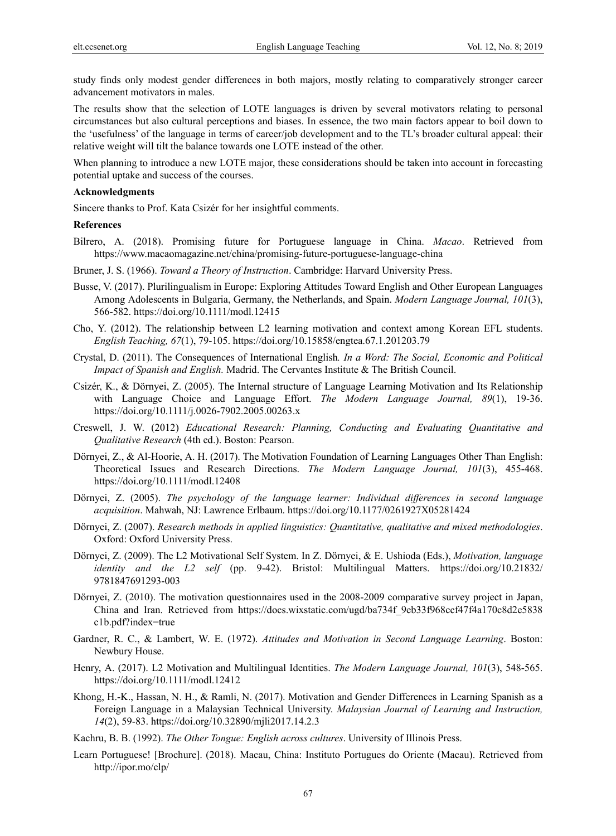study finds only modest gender differences in both majors, mostly relating to comparatively stronger career advancement motivators in males.

The results show that the selection of LOTE languages is driven by several motivators relating to personal circumstances but also cultural perceptions and biases. In essence, the two main factors appear to boil down to the 'usefulness' of the language in terms of career/job development and to the TL's broader cultural appeal: their relative weight will tilt the balance towards one LOTE instead of the other.

When planning to introduce a new LOTE major, these considerations should be taken into account in forecasting potential uptake and success of the courses.

## **Acknowledgments**

Sincere thanks to Prof. Kata Csizér for her insightful comments.

#### **References**

- Bilrero, A. (2018). Promising future for Portuguese language in China. *Macao*. Retrieved from https://www.macaomagazine.net/china/promising-future-portuguese-language-china
- Bruner, J. S. (1966). *Toward a Theory of Instruction*. Cambridge: Harvard University Press.
- Busse, V. (2017). Plurilingualism in Europe: Exploring Attitudes Toward English and Other European Languages Among Adolescents in Bulgaria, Germany, the Netherlands, and Spain. *Modern Language Journal, 101*(3), 566-582. https://doi.org/10.1111/modl.12415
- Cho, Y. (2012). The relationship between L2 learning motivation and context among Korean EFL students. *English Teaching, 67*(1), 79-105. https://doi.org/10.15858/engtea.67.1.201203.79
- Crystal, D. (2011). The Consequences of International English*. In a Word: The Social, Economic and Political Impact of Spanish and English.* Madrid. The Cervantes Institute & The British Council.
- Csizér, K., & Dörnyei, Z. (2005). The Internal structure of Language Learning Motivation and Its Relationship with Language Choice and Language Effort. *The Modern Language Journal, 89*(1), 19-36. https://doi.org/10.1111/j.0026-7902.2005.00263.x
- Creswell, J. W. (2012) *Educational Research: Planning, Conducting and Evaluating Quantitative and Qualitative Research* (4th ed.). Boston: Pearson.
- Dörnyei, Z., & Al-Hoorie, A. H. (2017). The Motivation Foundation of Learning Languages Other Than English: Theoretical Issues and Research Directions. *The Modern Language Journal, 101*(3), 455-468. https://doi.org/10.1111/modl.12408
- Dörnyei, Z. (2005). *The psychology of the language learner: Individual differences in second language acquisition*. Mahwah, NJ: Lawrence Erlbaum. https://doi.org/10.1177/0261927X05281424
- Dörnyei, Z. (2007). *Research methods in applied linguistics: Quantitative, qualitative and mixed methodologies*. Oxford: Oxford University Press.
- Dörnyei, Z. (2009). The L2 Motivational Self System. In Z. Dörnyei, & E. Ushioda (Eds.), *Motivation, language identity and the L2 self* (pp. 9-42). Bristol: Multilingual Matters. https://doi.org/10.21832/ 9781847691293-003
- Dörnyei, Z. (2010). The motivation questionnaires used in the 2008-2009 comparative survey project in Japan, China and Iran. Retrieved from https://docs.wixstatic.com/ugd/ba734f\_9eb33f968ccf47f4a170c8d2e5838 c1b.pdf?index=true
- Gardner, R. C., & Lambert, W. E. (1972). *Attitudes and Motivation in Second Language Learning*. Boston: Newbury House.
- Henry, A. (2017). L2 Motivation and Multilingual Identities. *The Modern Language Journal, 101*(3), 548-565. https://doi.org/10.1111/modl.12412
- Khong, H.-K., Hassan, N. H., & Ramli, N. (2017). Motivation and Gender Differences in Learning Spanish as a Foreign Language in a Malaysian Technical University. *Malaysian Journal of Learning and Instruction, 14*(2), 59-83. https://doi.org/10.32890/mjli2017.14.2.3
- Kachru, B. B. (1992). *The Other Tongue: English across cultures*. University of Illinois Press.
- Learn Portuguese! [Brochure]. (2018). Macau, China: Instituto Portugues do Oriente (Macau). Retrieved from http://ipor.mo/clp/